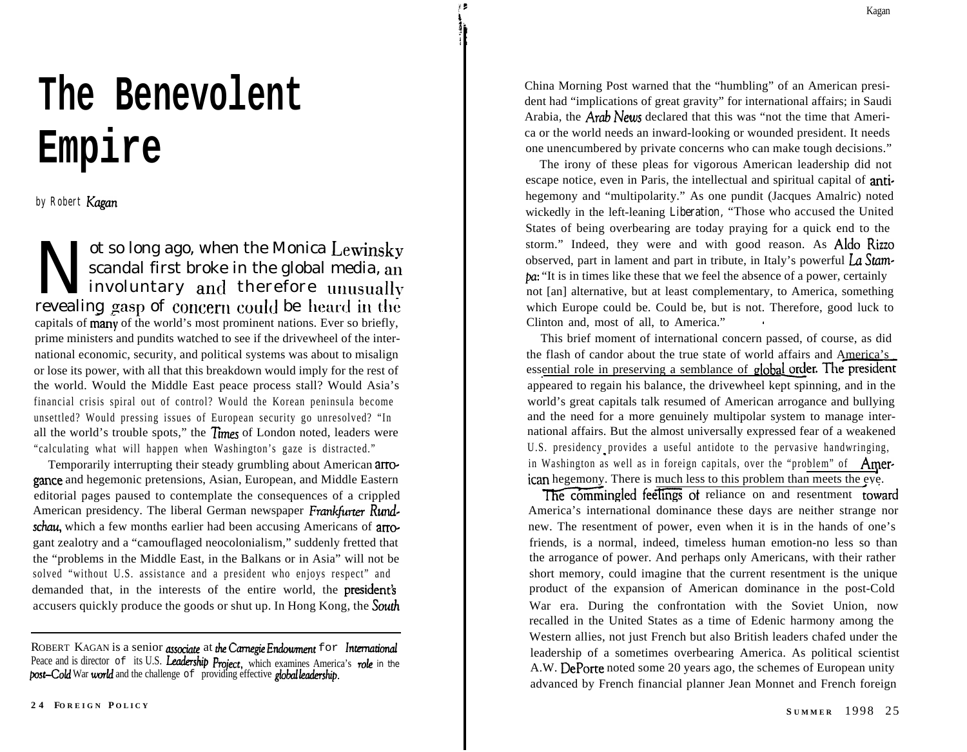## **The Benevolent Empire**

*by Robert Kagan*

N ot so long ago, when the Monica Lewinsky<br>
scandal first broke in the global media, an<br>
involuntary and therefore unusually scandal first broke in the global media, an Involuntary and therefore unusually revealing gasp of concern could be heard in the capitals of **many** of the world's most prominent nations. Ever so briefly, prime ministers and pundits watched to see if the drivewheel of the international economic, security, and political systems was about to misalign or lose its power, with all that this breakdown would imply for the rest of the world. Would the Middle East peace process stall? Would Asia's financial crisis spiral out of control? Would the Korean peninsula become unsettled? Would pressing issues of European security go unresolved? "In all the world's trouble spots," the Times of London noted, leaders were "calculating what will happen when Washington's gaze is distracted."

Temporarily interrupting their steady grumbling about American arrogance and hegemonic pretensions, Asian, European, and Middle Eastern editorial pages paused to contemplate the consequences of a crippled American presidency. The liberal German newspaper Frankfurter Rundschau, which a few months earlier had been accusing Americans of arrogant zealotry and a "camouflaged neocolonialism," suddenly fretted that the "problems in the Middle East, in the Balkans or in Asia" will not be solved "without U.S. assistance and a president who enjoys respect" and demanded that, in the interests of the entire world, the **president's** accusers quickly produce the goods or shut up. In Hong Kong, the South

ROBERT KAGAN is a senior associate at the Carnegie Endowment for International Peace and is director of its U.S. Leadership Project, which examines America's role *in the* post-Cold War world and the challenge of providing effective global leadership

China Morning Post warned that the "humbling" of an American president had "implications of great gravity" for international affairs; in Saudi Arabia, the Arab News declared that this was "not the time that America or the world needs an inward-looking or wounded president. It needs one unencumbered by private concerns who can make tough decisions."

The irony of these pleas for vigorous American leadership did not escape notice, even in Paris, the intellectual and spiritual capital of antihegemony and "multipolarity." As one pundit (Jacques Amalric) noted wickedly in the left-leaning *Liberation,* "Those who accused the United States of being overbearing are today praying for a quick end to the storm." Indeed, they were and with good reason. As Aldo Rizzo observed, part in lament and part in tribute, in Italy's powerful  $LaStam$ pa: "It is in times like these that we feel the absence of a power, certainly not [an] alternative, but at least complementary, to America, something which Europe could be. Could be, but is not. Therefore, good luck to Clinton and, most of all, to America."

This brief moment of international concern passed, of course, as did the flash of candor about the true state of world affairs and America's ess<u>ential role in preserving a semblance of **glob**</u> appeared to regain his balance, the drivewheel kept spinning, and in the world's great capitals talk resumed of American arrogance and bullying and the need for a more genuinely multipolar system to manage international affairs. But the almost universally expressed fear of a weakened U.S. presidency provides a useful antidote to the pervasive handwringing, in Washington as well as in foreign capitals, over the "problem" of **Amer**ican hegemony. There is much less to this problem than meets the eye.

The commingled feelings of reliance on and resentment toward America's international dominance these days are neither strange nor new. The resentment of power, even when it is in the hands of one's friends, is a normal, indeed, timeless human emotion-no less so than the arrogance of power. And perhaps only Americans, with their rather short memory, could imagine that the current resentment is the unique product of the expansion of American dominance in the post-Cold War era. During the confrontation with the Soviet Union, now recalled in the United States as a time of Edenic harmony among the Western allies, not just French but also British leaders chafed under the leadership of a sometimes overbearing America. As political scientist A.W. DePorte noted some 20 years ago, the schemes of European unity advanced by French financial planner Jean Monnet and French foreign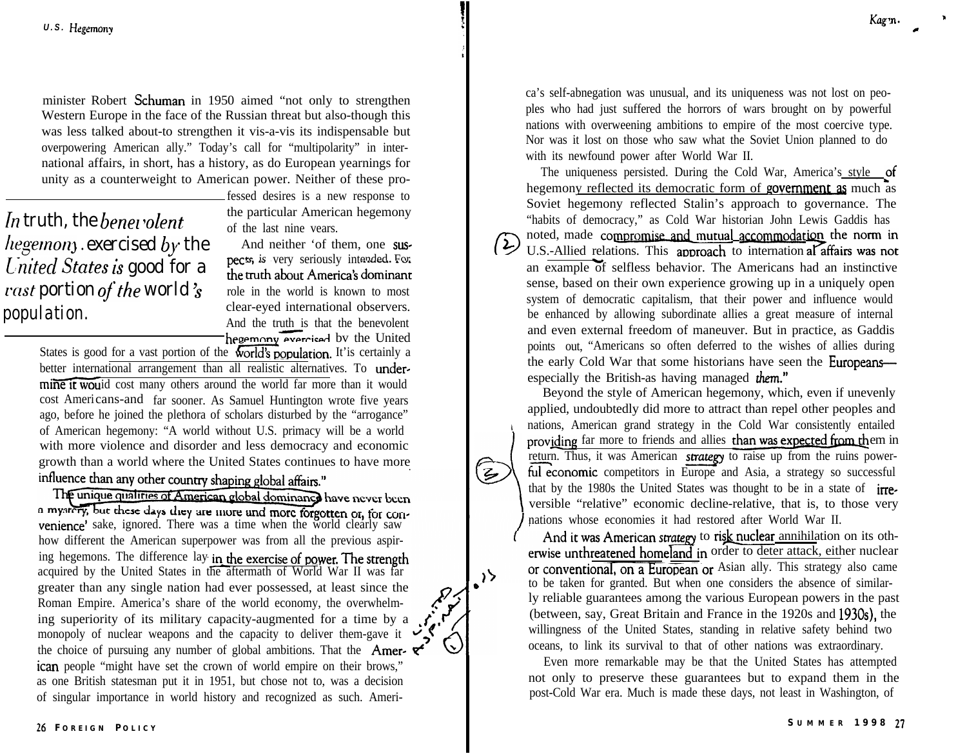minister Robert Schuman in 1950 aimed "not only to strengthen Western Europe in the face of the Russian threat but also-though this was less talked about-to strengthen it vis-a-vis its indispensable but overpowering American ally." Today's call for "multipolarity" in international affairs, in short, has a history, as do European yearnings for unity as a counterweight to American power. Neither of these pro-

*111 truth, the bener yolent hegemom exercised by the* And neither 'of them, one sus-<br>*L*ighted States is good for a pectric is very seriously intended. For *b b*<sup>*nited States is good for a* pects, is very seriously intended. For *he time here time here time here here here here here here here here here here here here here here here </sup> rast portion of the world's* role in the world is known to most **population.** clear-eyed international observers.

fessed desires is a new response to the particular American hegemony of the last nine vears.

 $(2)$ 

Z<br>Z

 $\rightarrow$ 

And the truth is that the benevolent hegemony exercised by the United

States is good for a vast portion of the **world's population**. It'is certainly a better international arrangement than all realistic alternatives. To undermine it would cost many others around the world far more than it would cost Americans-and far sooner. As Samuel Huntington wrote five years ago, before he joined the plethora of scholars disturbed by the "arrogance" of American hegemony: "A world without U.S. primacy will be a world with more violence and disorder and less democracy and economic growth than a world where the United States continues to have more influence than any other country shaping global affairs."

The unique qualities of American global dominance have never been a mystery, but these days they are more and more forgotten or, for convenience' sake, ignored. There was a time when the world clearly saw how different the American superpower was from all the previous aspiring hegemons. The difference lay in the exercise of power. The strength acquired by the United States in the aftermath of World War II was far greater than any single nation had ever possessed, at least since the Roman Empire. America's share of the world economy, the overwhelming superiority of its military capacity-augmented for a time by a monopoly of nuclear weapons and the capacity to deliver them-gave it the choice of pursuing any number of global ambitions. That the American people "might have set the crown of world empire on their brows," as one British statesman put it in 1951, but chose not to, was a decision of singular importance in world history and recognized as such. America's self-abnegation was unusual, and its uniqueness was not lost on peoples who had just suffered the horrors of wars brought on by powerful nations with overweening ambitions to empire of the most coercive type. Nor was it lost on those who saw what the Soviet Union planned to do with its newfound power after World War II.

The uniqueness persisted. During the Cold War, America's style of hegemony reflected its democratic form of government as much as Soviet hegemony reflected Stalin's approach to governance. The "habits of democracy," as Cold War historian John Lewis Gaddis has noted, made compromise and mutual accommodation the norm in U.S.-Allied relations. This approach to internation an example of selfless behavior. The Americans had an instinctive sense, based on their own experience growing up in a uniquely open system of democratic capitalism, that their power and influence would be enhanced by allowing subordinate allies a great measure of internal and even external freedom of maneuver. But in practice, as Gaddis points out, "Americans so often deferred to the wishes of allies during the early Cold War that some historians have seen the **Europeans--**especially the British-as having managed them."

nations whose economies it had restored after World War II. Beyond the style of American hegemony, which, even if unevenly applied, undoubtedly did more to attract than repel other peoples and \ nations, American grand strategy in the Cold War consistently entailed providing far more to friends and allies than was expected from them in return. Thus, it was American strategy to raise up from the ruins powerful economic competitors in Europe and Asia, a strategy so successful that by the 1980s the United States was thought to be in a state of irre- \ versible "relative" economic decline-relative, that is, to those very

And it was American strategy to risk nuclear annihilation on its otherwise unthreatened homeland in order to deter attack, either nuclear or conventional, on a European or Asian ally. This strategy also came to be taken for granted. But when one considers the absence of similarly reliable guarantees among the various European powers in the past (between, say, Great Britain and France in the 1920s and 193Os), the willingness of the United States, standing in relative safety behind two oceans, to link its survival to that of other nations was extraordinary.

Even more remarkable may be that the United States has attempted not only to preserve these guarantees but to expand them in the post-Cold War era. Much is made these days, not least in Washington, of

a

**L**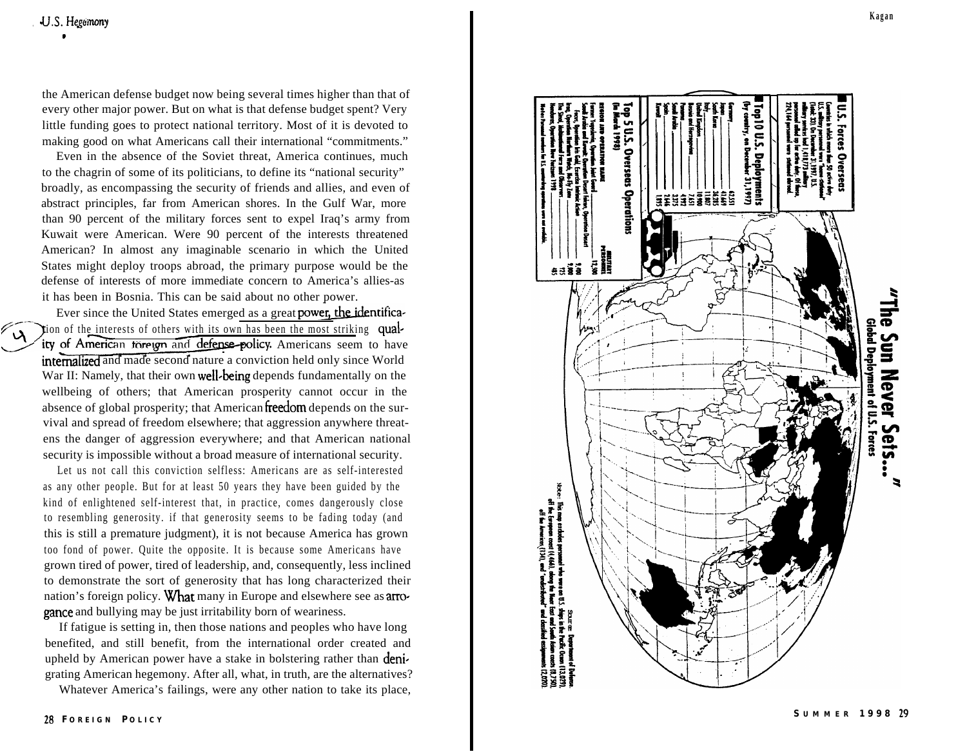**5**

the American defense budget now being several times higher than that of every other major power. But on what is that defense budget spent? Very little funding goes to protect national territory. Most of it is devoted to making good on what Americans call their international "commitments."

Even in the absence of the Soviet threat, America continues, much to the chagrin of some of its politicians, to define its "national security" broadly, as encompassing the security of friends and allies, and even of abstract principles, far from American shores. In the Gulf War, more than 90 percent of the military forces sent to expel Iraq's army from Kuwait were American. Were 90 percent of the interests threatened American? In almost any imaginable scenario in which the United States might deploy troops abroad, the primary purpose would be the defense of interests of more immediate concern to America's allies-as it has been in Bosnia. This can be said about no other power.

Ever since the United States emerged as a great power, the identificathat has been in Bosnia. This can be said about no other power.<br>
Ever since the United States emerged as a great power, the idention of the interests of others with its own has been the most striking ty of American foreign tion of the interests of others with its own has been the most striking qualerican? In almost any imaginable scenario in which the United<br>tes might deploy troops abroad, the primary purpose would be the<br>ense of interests of more immediate concern to America's allies-as<br>as been in Bosnia. This can intemaiized and made second nature a conviction held only since World War II: Namely, that their own **well-being** depends fundamentally on the wellbeing of others; that American prosperity cannot occur in the absence of global prosperity; that American freedom depends on the survival and spread of freedom elsewhere; that aggression anywhere threatens the danger of aggression everywhere; and that American national security is impossible without a broad measure of international security.

Let us not call this conviction selfless: Americans are as self-interested as any other people. But for at least 50 years they have been guided by the kind of enlightened self-interest that, in practice, comes dangerously close to resembling generosity. if that generosity seems to be fading today (and this is still a premature judgment), it is not because America has grown too fond of power. Quite the opposite. It is because some Americans have grown tired of power, tired of leadership, and, consequently, less inclined to demonstrate the sort of generosity that has long characterized their nation's foreign policy. What many in Europe and elsewhere see as arrogance and bullying may be just irritability born of weariness.

If fatigue is setting in, then those nations and peoples who have long benefited, and still benefit, from the international order created and upheld by American power have a stake in bolstering rather than denigrating American hegemony. After all, what, in truth, are the alternatives?

Whatever America's failings, were any other nation to take its place,



Sun

Never ö

Sets...

 $\frac{10}{10}$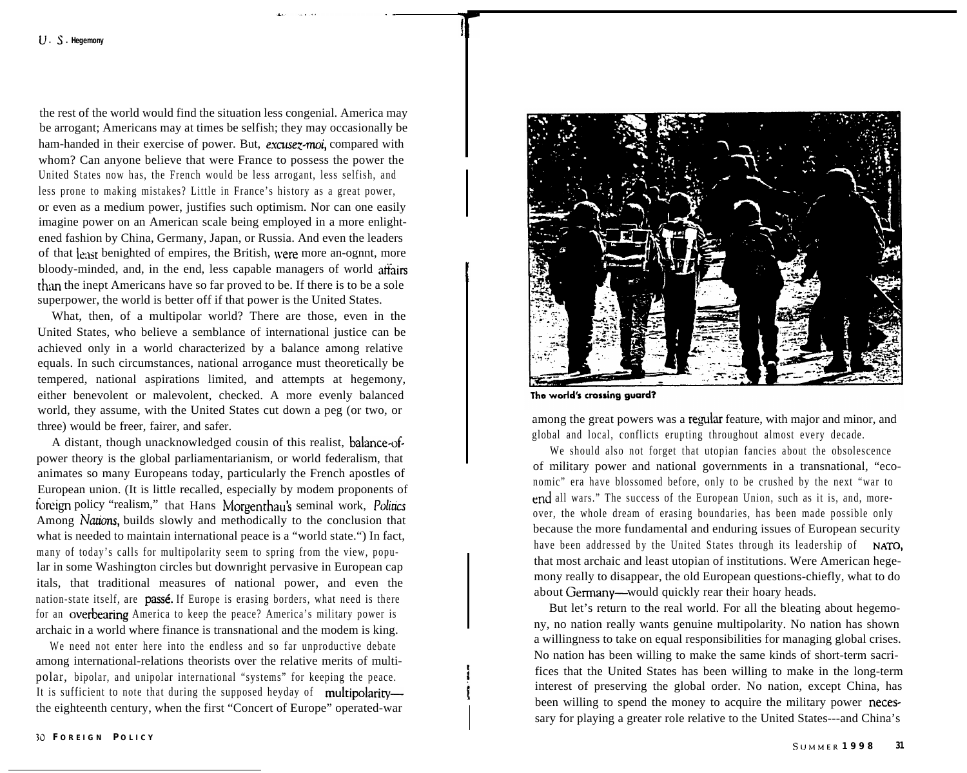the rest of the world would find the situation less congenial. America may be arrogant; Americans may at times be selfish; they may occasionally be ham-handed in their exercise of power. But, excusez-moi, compared with whom? Can anyone believe that were France to possess the power the United States now has, the French would be less arrogant, less selfish, and less prone to making mistakes? Little in France's history as a great power, or even as a medium power, justifies such optimism. Nor can one easily imagine power on an American scale being employed in a more enlightened fashion by China, Germany, Japan, or Russia. And even the leaders of that least benighted of empires, the British, were more an-ognnt, more bloody-minded, and, in the end, less capable managers of world atiairs than the inept Americans have so far proved to be. If there is to be a sole superpower, the world is better off if that power is the United States.

What, then, of a multipolar world? There are those, even in the United States, who believe a semblance of international justice can be achieved only in a world characterized by a balance among relative equals. In such circumstances, national arrogance must theoretically be tempered, national aspirations limited, and attempts at hegemony, either benevolent or malevolent, checked. A more evenly balanced world, they assume, with the United States cut down a peg (or two, or three) would be freer, fairer, and safer.

A distant, though unacknowledged cousin of this realist, balance-ofpower theory is the global parliamentarianism, or world federalism, that animates so many Europeans today, particularly the French apostles of European union. (It is little recalled, especially by modem proponents of foreign policy "realism," that Hans Morgenthau's seminal work, *Politics* Among Nations, builds slowly and methodically to the conclusion that what is needed to maintain international peace is a "world state.") In fact, many of today's calls for multipolarity seem to spring from the view, popular in some Washington circles but downright pervasive in European cap itals, that traditional measures of national power, and even the nation-state itself, are **passe**. If Europe is erasing borders, what need is there for an overbearing America to keep the peace? America's military power is archaic in a world where finance is transnational and the modem is king.

We need not enter here into the endless and so far unproductive debate among international-relations theorists over the relative merits of multipolar, bipolar, and unipolar international "systems" for keeping the peace. It is sufficient to note that during the supposed heyday of multipolaritythe eighteenth century, when the first "Concert of Europe" operated-war



The world's crossing guard?

among the great powers was a regular feature, with major and minor, and global and local, conflicts erupting throughout almost every decade.

We should also not forget that utopian fancies about the obsolescence of military power and national governments in a transnational, "economic" era have blossomed before, only to be crushed by the next "war to end all wars." The success of the European Union, such as it is, and, moreover, the whole dream of erasing boundaries, has been made possible only because the more fundamental and enduring issues of European security have been addressed by the United States through its leadership of NATO, that most archaic and least utopian of institutions. Were American hegemony really to disappear, the old European questions-chiefly, what to do about Germany-would quickly rear their hoary heads.

But let's return to the real world. For all the bleating about hegemony, no nation really wants genuine multipolarity. No nation has shown a willingness to take on equal responsibilities for managing global crises. No nation has been willing to make the same kinds of short-term sacrifices that the United States has been willing to make in the long-term interest of preserving the global order. No nation, except China, has been willing to spend the money to acquire the military power necessary for playing a greater role relative to the United States---and China's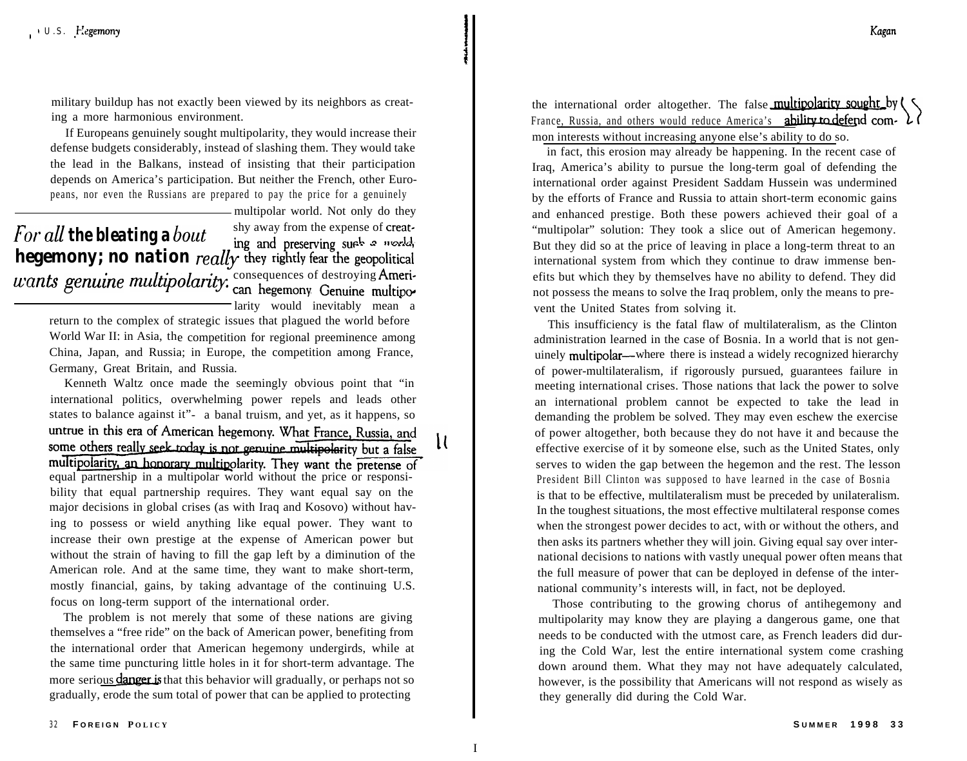military buildup has not exactly been viewed by its neighbors as creating a more harmonious environment.

If Europeans genuinely sought multipolarity, they would increase their defense budgets considerably, instead of slashing them. They would take the lead in the Balkans, instead of insisting that their participation depends on America's participation. But neither the French, other Europeans, nor even the Russians are prepared to pay the price for a genuinely

multipolar world. Not only do they

*For all the bleating a bout* shy away from the expense of creat-<br>*ing* and preserving such a world. *hegemony; no nation really hey* rightly *few the geopohticai <u>Wants genuine multipolarity.</u>* consequences of destroying Ameri-<br>
can hegemony . Genuine multipool can hegemony. Genuine multipo-

larity would inevitably mean a

return to the complex of strategic issues that plagued the world before World War II: in Asia, the competition for regional preeminence among China, Japan, and Russia; in Europe, the competition among France, Germany, Great Britain, and Russia.

Kenneth Waltz once made the seemingly obvious point that "in international politics, overwhelming power repels and leads other states to balance against it"- a banal truism, and yet, as it happens, so untrue in this era of American hegemony. What France, Russia, and some others really seek today is not genuine multipolarity but a false multipolarity, an honorary multipolarity. They want the pretense of equal partnership in a multipolar world without the price or responsibility that equal partnership requires. They want equal say on the major decisions in global crises (as with Iraq and Kosovo) without having to possess or wield anything like equal power. They want to increase their own prestige at the expense of American power but without the strain of having to fill the gap left by a diminution of the American role. And at the same time, they want to make short-term, mostly financial, gains, by taking advantage of the continuing U.S. focus on long-term support of the international order.

The problem is not merely that some of these nations are giving themselves a "free ride" on the back of American power, benefiting from the international order that American hegemony undergirds, while at the same time puncturing little holes in it for short-term advantage. The more serious **danger** is that this behavior will gradually, or perhaps not so gradually, erode the sum total of power that can be applied to protecting

the international order altogether. The false  $\frac{multi polarity\ sought\text{-by}}{}$ France, Russia, and others would reduce America's ability to defend com-  $\lambda$ mon interests without increasing anyone else's ability to do so.

in fact, this erosion may already be happening. In the recent case of Iraq, America's ability to pursue the long-term goal of defending the international order against President Saddam Hussein was undermined by the efforts of France and Russia to attain short-term economic gains and enhanced prestige. Both these powers achieved their goal of a "multipolar" solution: They took a slice out of American hegemony. But they did so at the price of leaving in place a long-term threat to an international system from which they continue to draw immense benefits but which they by themselves have no ability to defend. They did not possess the means to solve the Iraq problem, only the means to prevent the United States from solving it.

This insufficiency is the fatal flaw of multilateralism, as the Clinton administration learned in the case of Bosnia. In a world that is not genuinely **multipolar—** where there is instead a widely recognized hierarchy of power-multilateralism, if rigorously pursued, guarantees failure in meeting international crises. Those nations that lack the power to solve an international problem cannot be expected to take the lead in demanding the problem be solved. They may even eschew the exercise of power altogether, both because they do not have it and because the effective exercise of it by someone else, such as the United States, only serves to widen the gap between the hegemon and the rest. The lesson President Bill Clinton was supposed to have learned in the case of Bosnia is that to be effective, multilateralism must be preceded by unilateralism. In the toughest situations, the most effective multilateral response comes when the strongest power decides to act, with or without the others, and then asks its partners whether they will join. Giving equal say over international decisions to nations with vastly unequal power often means that the full measure of power that can be deployed in defense of the international community's interests will, in fact, not be deployed.

Those contributing to the growing chorus of antihegemony and multipolarity may know they are playing a dangerous game, one that needs to be conducted with the utmost care, as French leaders did during the Cold War, lest the entire international system come crashing down around them. What they may not have adequately calculated, however, is the possibility that Americans will not respond as wisely as they generally did during the Cold War.

 $\mathfrak{u}$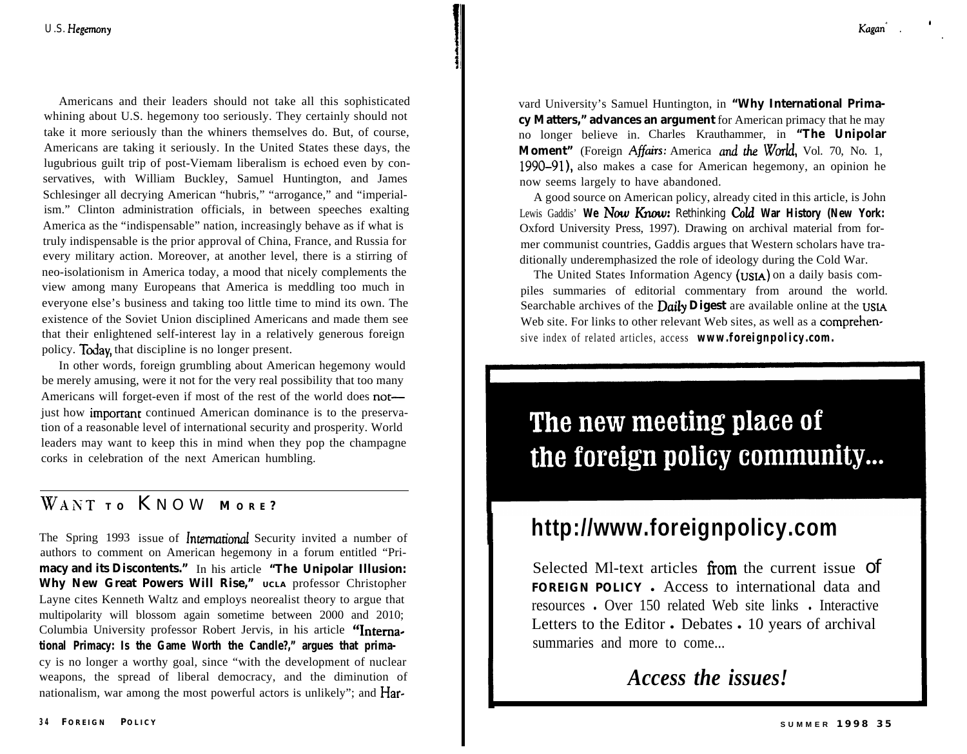Americans and their leaders should not take all this sophisticated whining about U.S. hegemony too seriously. They certainly should not take it more seriously than the whiners themselves do. But, of course, Americans are taking it seriously. In the United States these days, the lugubrious guilt trip of post-Viemam liberalism is echoed even by conservatives, with William Buckley, Samuel Huntington, and James Schlesinger all decrying American "hubris," "arrogance," and "imperialism." Clinton administration officials, in between speeches exalting America as the "indispensable" nation, increasingly behave as if what is truly indispensable is the prior approval of China, France, and Russia for every military action. Moreover, at another level, there is a stirring of neo-isolationism in America today, a mood that nicely complements the view among many Europeans that America is meddling too much in everyone else's business and taking too little time to mind its own. The existence of the Soviet Union disciplined Americans and made them see that their enlightened self-interest lay in a relatively generous foreign policy. Today, that discipline is no longer present.

In other words, foreign grumbling about American hegemony would be merely amusing, were it not for the very real possibility that too many Americans will forget-even if most of the rest of the world does notjust how **important** continued American dominance is to the preservation of a reasonable level of international security and prosperity. World leaders may want to keep this in mind when they pop the champagne corks in celebration of the next American humbling.

### WAST **T O** K NOW **<sup>M</sup> ORE ?**

The Spring 1993 issue of **International** Security invited a number of authors to comment on American hegemony in a forum entitled "Pri**macy and its Discontents."** In his article **"The Unipolar Illusion: Why New Great Powers Will Rise," UCLA** professor Christopher Layne cites Kenneth Waltz and employs neorealist theory to argue that multipolarity will blossom again sometime between 2000 and 2010; Columbia University professor Robert Jervis, in his article "Interna**tional Primacy: Is the Game Worth the Candle?," argues that prima**cy is no longer a worthy goal, since "with the development of nuclear weapons, the spread of liberal democracy, and the diminution of nationalism, war among the most powerful actors is unlikely"; and Har-

vard University's Samuel Huntington, in **"Why International Primacy Matters," advances an argument** for American primacy that he may no longer believe in. Charles Krauthammer, in **"The Unipolar Moment**" (Foreign Affairs: America and the World, Vol. 70, No. 1, 1990-91), also makes a case for American hegemony, an opinion he now seems largely to have abandoned.

A good source on American policy, already cited in this article, is John Lewis Gaddis' **We Now Know:** *Rethinking Cold* **War History (New York:** Oxford University Press, 1997). Drawing on archival material from former communist countries, Gaddis argues that Western scholars have traditionally underemphasized the role of ideology during the Cold War.

The United States Information Agency (USIA) on a daily basis compiles summaries of editorial commentary from around the world. Searchable archives of the **Daily Digest** are available online at the **usu** Web site. For links to other relevant Web sites, as well as a comprehensive index of related articles, access **www.foreignpolicy.com.**

## The new meeting place of the foreign policy community...

## **http://www.foreignpolicy.com**

Selected Ml-text articles from the current issue of **FOREIGN POLICY** • Access to international data and resources • Over 150 related Web site links • Interactive Letters to the Editor • Debates • 10 years of archival summaries and more to come...

*Access the issues!*

1 *.*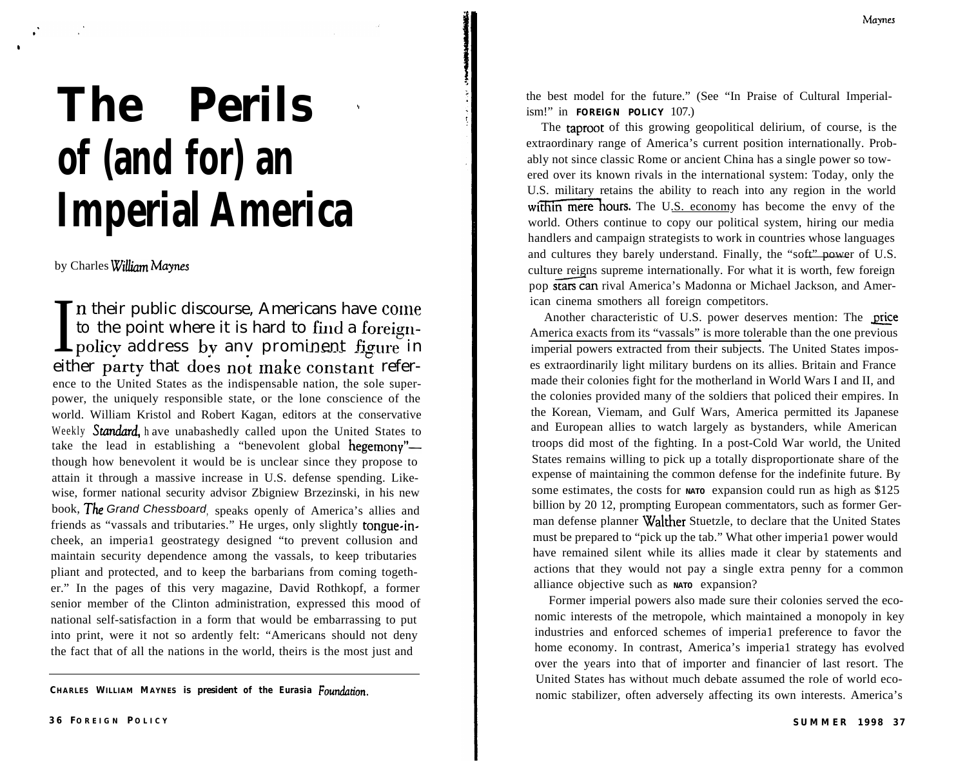# **The Perils <sup>r</sup> of (and for) an Imperial America**

by Charles William Maynes

.

In their public discourse, Americans have come<br>to the point where it is hard to find a foreign-<br>policy address by any prominent figure in n their public discourse, Americans have come to the point where it is hard to find a foreigneither party that does not make constant reference to the United States as the indispensable nation, the sole superpower, the uniquely responsible state, or the lone conscience of the world. William Kristol and Robert Kagan, editors at the conservative Weekly *Srandard,* h ave unabashedly called upon the United States to take the lead in establishing a "benevolent global hegemony"though how benevolent it would be is unclear since they propose to attain it through a massive increase in U.S. defense spending. Likewise, former national security advisor Zbigniew Brzezinski, in his new book, The *Grand Chessboard*, speaks openly of America's allies and friends as "vassals and tributaries." He urges, only slightly tongue-incheek, an imperia1 geostrategy designed "to prevent collusion and maintain security dependence among the vassals, to keep tributaries pliant and protected, and to keep the barbarians from coming together." In the pages of this very magazine, David Rothkopf, a former senior member of the Clinton administration, expressed this mood of national self-satisfaction in a form that would be embarrassing to put into print, were it not so ardently felt: "Americans should not deny the fact that of all the nations in the world, theirs is the most just and

**CHARLES WILLIAM MAYNES is president** *of the Eurasia Foudation.*

the best model for the future." (See "In Praise of Cultural Imperialism!" in **FOREIGN POLICY** 107.)

The taproot of this growing geopolitical delirium, of course, is the extraordinary range of America's current position internationally. Probably not since classic Rome or ancient China has a single power so towered over its known rivals in the international system: Today, only the U.S. military retains the ability to reach into any region in the world within mere hours. The U.S. economy has become the envy of the world. Others continue to copy our political system, hiring our media handlers and campaign strategists to work in countries whose languages and cultures they barely understand. Finally, the "soft" power of U.S. culture reigns supreme internationally. For what it is worth, few foreign pop stars can rival America's Madonna or Michael Jackson, and American cinema smothers all foreign competitors.

Another characteristic of U.S. power deserves mention: The price America exacts from its "vassals" is more tolerable than the one previous . imperial powers extracted from their subjects. The United States imposes extraordinarily light military burdens on its allies. Britain and France made their colonies fight for the motherland in World Wars I and II, and the colonies provided many of the soldiers that policed their empires. In the Korean, Viemam, and Gulf Wars, America permitted its Japanese and European allies to watch largely as bystanders, while American troops did most of the fighting. In a post-Cold War world, the United States remains willing to pick up a totally disproportionate share of the expense of maintaining the common defense for the indefinite future. By some estimates, the costs for **NATO** expansion could run as high as \$125 billion by 20 12, prompting European commentators, such as former German defense planner Walther Stuetzle, to declare that the United States must be prepared to "pick up the tab." What other imperia1 power would have remained silent while its allies made it clear by statements and actions that they would not pay a single extra penny for a common alliance objective such as **NATO** expansion?

Former imperial powers also made sure their colonies served the economic interests of the metropole, which maintained a monopoly in key industries and enforced schemes of imperia1 preference to favor the home economy. In contrast, America's imperia1 strategy has evolved over the years into that of importer and financier of last resort. The United States has without much debate assumed the role of world economic stabilizer, often adversely affecting its own interests. America's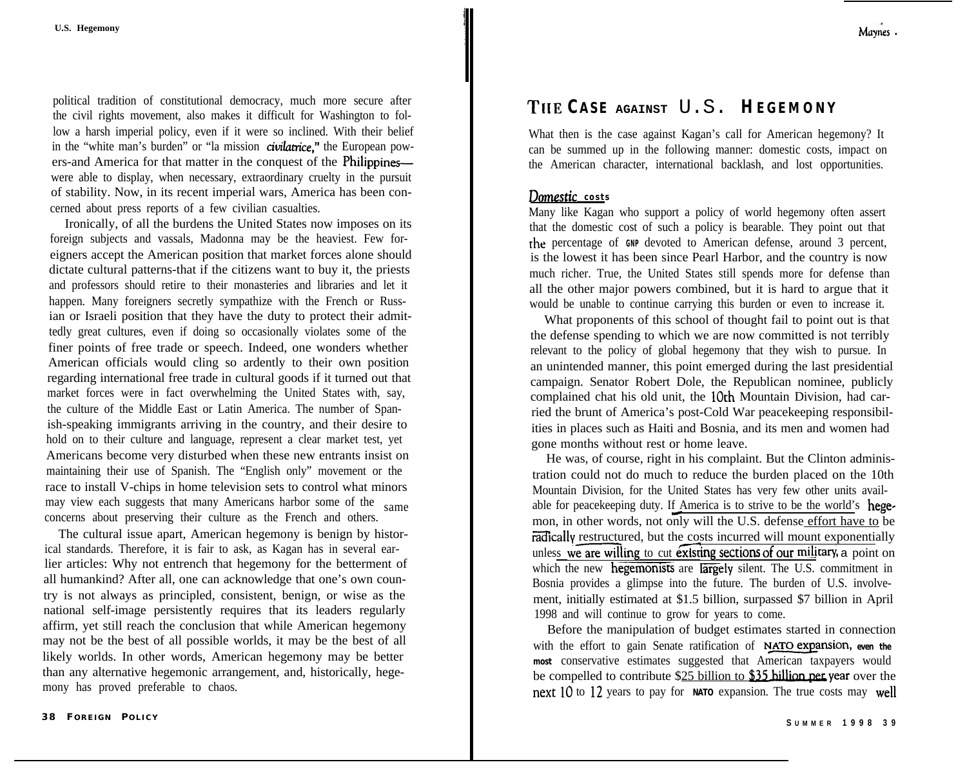political tradition of constitutional democracy, much more secure after the civil rights movement, also makes it difficult for Washington to follow a harsh imperial policy, even if it were so inclined. With their belief in the "white man's burden" or "la mission civilatrice," the European powers-and America for that matter in the conquest of the Philippineswere able to display, when necessary, extraordinary cruelty in the pursuit of stability. Now, in its recent imperial wars, America has been concerned about press reports of a few civilian casualties.

Ironically, of all the burdens the United States now imposes on its foreign subjects and vassals, Madonna may be the heaviest. Few foreigners accept the American position that market forces alone should dictate cultural patterns-that if the citizens want to buy it, the priests and professors should retire to their monasteries and libraries and let it happen. Many foreigners secretly sympathize with the French or Russian or Israeli position that they have the duty to protect their admittedly great cultures, even if doing so occasionally violates some of the finer points of free trade or speech. Indeed, one wonders whether American officials would cling so ardently to their own position regarding international free trade in cultural goods if it turned out that market forces were in fact overwhelming the United States with, say, the culture of the Middle East or Latin America. The number of Spanish-speaking immigrants arriving in the country, and their desire to hold on to their culture and language, represent a clear market test, yet Americans become very disturbed when these new entrants insist on maintaining their use of Spanish. The "English only" movement or the race to install V-chips in home television sets to control what minors may view each suggests that many Americans harbor some of the same concerns about preserving their culture as the French and others.

The cultural issue apart, American hegemony is benign by historical standards. Therefore, it is fair to ask, as Kagan has in several earlier articles: Why not entrench that hegemony for the betterment of all humankind? After all, one can acknowledge that one's own country is not always as principled, consistent, benign, or wise as the national self-image persistently requires that its leaders regularly affirm, yet still reach the conclusion that while American hegemony may not be the best of all possible worlds, it may be the best of all likely worlds. In other words, American hegemony may be better than any alternative hegemonic arrangement, and, historically, hegemony has proved preferable to chaos.

#### **TIIE CASE AGAINST** U.S. **HEGEMONY**

What then is the case against Kagan's call for American hegemony? It can be summed up in the following manner: domestic costs, impact on the American character, international backlash, and lost opportunities.

#### Domestic *costs*

Many like Kagan who support a policy of world hegemony often assert that the domestic cost of such a policy is bearable. They point out that the percentage of *GNP* devoted to American defense, around 3 percent, is the lowest it has been since Pearl Harbor, and the country is now much richer. True, the United States still spends more for defense than all the other major powers combined, but it is hard to argue that it would be unable to continue carrying this burden or even to increase it.

What proponents of this school of thought fail to point out is that the defense spending to which we are now committed is not terribly relevant to the policy of global hegemony that they wish to pursue. In an unintended manner, this point emerged during the last presidential campaign. Senator Robert Dole, the Republican nominee, publicly complained chat his old unit, the 10th Mountain Division, had carried the brunt of America's post-Cold War peacekeeping responsibilities in places such as Haiti and Bosnia, and its men and women had gone months without rest or home leave.

He was, of course, right in his complaint. But the Clinton administration could not do much to reduce the burden placed on the 10th Mountain Division, for the United States has very few other units available for peacekeeping duty. If America is to strive to be the world's hegemon, in other words, not only will the U.S. defense effort have to be radically restructured, but the costs incurred will mount exponentially unless we are willing to cut existing sections of our military, a point on which the new hegemonists are largely silent. The U.S. commitment in Bosnia provides a glimpse into the future. The burden of U.S. involvement, initially estimated at \$1.5 billion, surpassed \$7 billion in April 1998 and will continue to grow for years to come.

Before the manipulation of budget estimates started in connection with the effort to gain Senate ratification of **NATO expansion**, even the **most** conservative estimates suggested that American taxpayers would be compelled to contribute  $$25$  billion to  $$35$  billion per year over the **next** 10 to 12 years to pay for **NATO** expansion. The true costs may well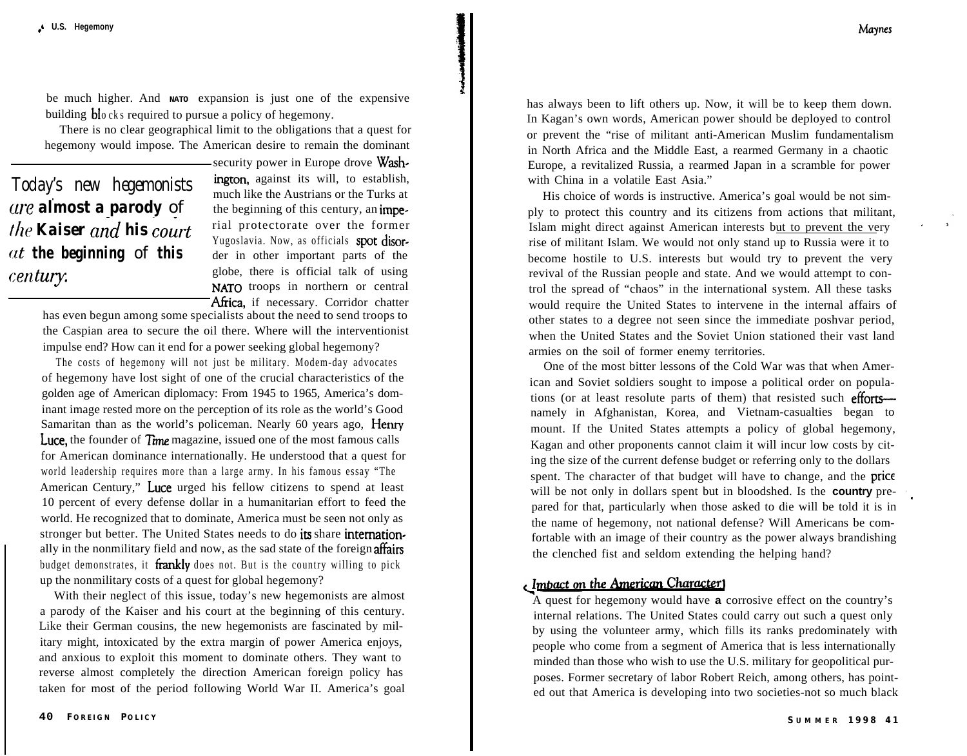be much higher. And **NATO** expansion is just one of the expensive building **bl** ocks required to pursue a policy of hegemony.

There is no clear geographical limit to the obligations that a quest for hegemony would impose. The American desire to remain the dominant

*clt the beginning of this*

security power in Europe drove Wash-*Today's new hegemonists* ington, against its will, to establish, much like the Austrians or the Turks at  $\mathbf{C}$  *cm almost a parody of* the beginning of this century, an impe*fhe Kaiser and his court* rial protectorate over the former Yugoslavia. Now, as officials spot disorder in other important parts of the *century*. globe, there is official talk of using NATO troops in northern or central Africa, if necessary. Corridor chatter

has even begun among some specialists about the need to send troops to the Caspian area to secure the oil there. Where will the interventionist impulse end? How can it end for a power seeking global hegemony?

The costs of hegemony will not just be military. Modem-day advocates of hegemony have lost sight of one of the crucial characteristics of the golden age of American diplomacy: From 1945 to 1965, America's dominant image rested more on the perception of its role as the world's Good Samaritan than as the world's policeman. Nearly 60 years ago, Henry Luce, the founder of Time magazine, issued one of the most famous calls for American dominance internationally. He understood that a quest for world leadership requires more than a large army. In his famous essay "The American Century," Luce urged his fellow citizens to spend at least 10 percent of every defense dollar in a humanitarian effort to feed the world. He recognized that to dominate, America must be seen not only as stronger but better. The United States needs to do its share intemationally in the nonmilitary field and now, as the sad state of the foreign affairs budget demonstrates, it frankly does not. But is the country willing to pick up the nonmilitary costs of a quest for global hegemony?

With their neglect of this issue, today's new hegemonists are almost a parody of the Kaiser and his court at the beginning of this century. Like their German cousins, the new hegemonists are fascinated by military might, intoxicated by the extra margin of power America enjoys, and anxious to exploit this moment to dominate others. They want to reverse almost completely the direction American foreign policy has taken for most of the period following World War II. America's goal has always been to lift others up. Now, it will be to keep them down. In Kagan's own words, American power should be deployed to control or prevent the "rise of militant anti-American Muslim fundamentalism in North Africa and the Middle East, a rearmed Germany in a chaotic Europe, a revitalized Russia, a rearmed Japan in a scramble for power with China in a volatile East Asia."

His choice of words is instructive. America's goal would be not simply to protect this country and its citizens from actions that militant, Islam might direct against American interests but to prevent the very rise of militant Islam. We would not only stand up to Russia were it to become hostile to U.S. interests but would try to prevent the very revival of the Russian people and state. And we would attempt to control the spread of "chaos" in the international system. All these tasks would require the United States to intervene in the internal affairs of other states to a degree not seen since the immediate poshvar period, when the United States and the Soviet Union stationed their vast land armies on the soil of former enemy territories.

One of the most bitter lessons of the Cold War was that when American and Soviet soldiers sought to impose a political order on populations (or at least resolute parts of them) that resisted such effortsnamely in Afghanistan, Korea, and Vietnam-casualties began to mount. If the United States attempts a policy of global hegemony, Kagan and other proponents cannot claim it will incur low costs by citing the size of the current defense budget or referring only to the dollars spent. The character of that budget will have to change, and the price will be not only in dollars spent but in bloodshed. Is the **country** prepared for that, particularly when those asked to die will be told it is in \* the name of hegemony, not national defense? Will Americans be comfortable with an image of their country as the power always brandishing the clenched fist and seldom extending the helping hand?

#### Impact on the American Character)

A quest for hegemony would have **a** corrosive effect on the country's internal relations. The United States could carry out such a quest only by using the volunteer army, which fills its ranks predominately with people who come from a segment of America that is less internationally minded than those who wish to use the U.S. military for geopolitical purposes. Former secretary of labor Robert Reich, among others, has pointed out that America is developing into two societies-not so much black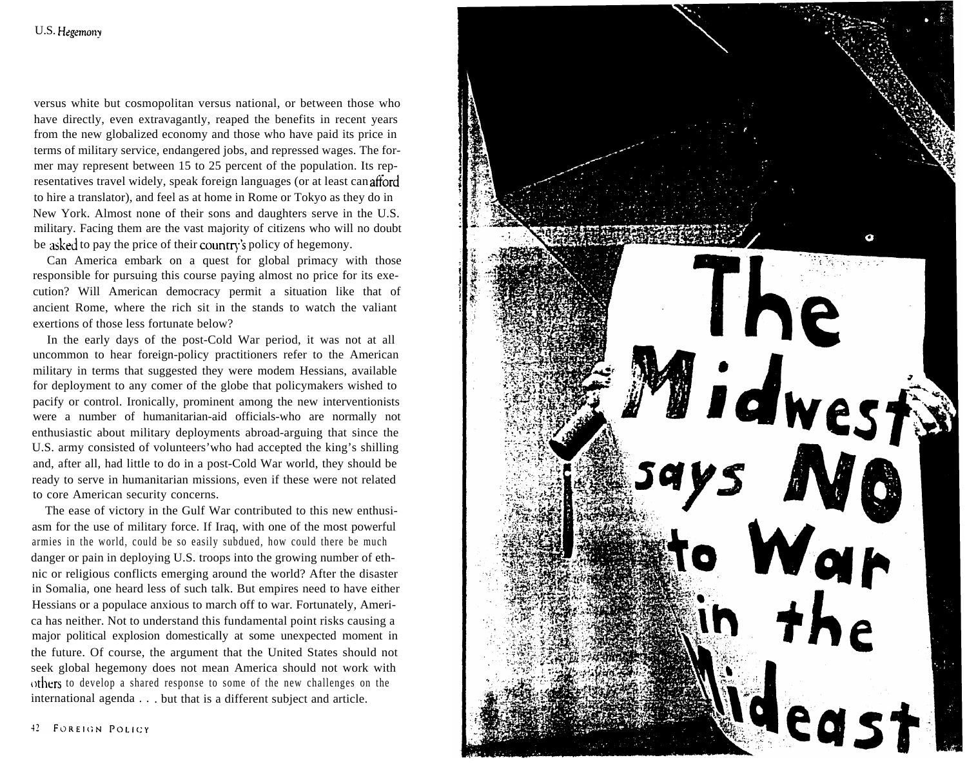versus white but cosmopolitan versus national, or between those who have directly, even extravagantly, reaped the benefits in recent years from the new globalized economy and those who have paid its price in terms of military service, endangered jobs, and repressed wages. The former may represent between 15 to 25 percent of the population. Its representatives travel widely, speak foreign languages (or at least can afford to hire a translator), and feel as at home in Rome or Tokyo as they do in New York. Almost none of their sons and daughters serve in the U.S. military. Facing them are the vast majority of citizens who will no doubt be asked to pay the price of their country's policy of hegemony.

Can America embark on a quest for global primacy with those responsible for pursuing this course paying almost no price for its execution? Will American democracy permit a situation like that of ancient Rome, where the rich sit in the stands to watch the valiant exertions of those less fortunate below?

In the early days of the post-Cold War period, it was not at all uncommon to hear foreign-policy practitioners refer to the American military in terms that suggested they were modem Hessians, available for deployment to any comer of the globe that policymakers wished to pacify or control. Ironically, prominent among the new interventionists were a number of humanitarian-aid officials-who are normally not enthusiastic about military deployments abroad-arguing that since the U.S. army consisted of volunteers'who had accepted the king's shilling and, after all, had little to do in a post-Cold War world, they should be ready to serve in humanitarian missions, even if these were not related to core American security concerns.

The ease of victory in the Gulf War contributed to this new enthusiasm for the use of military force. If Iraq, with one of the most powerful armies in the world, could be so easily subdued, how could there be much danger or pain in deploying U.S. troops into the growing number of ethnic or religious conflicts emerging around the world? After the disaster in Somalia, one heard less of such talk. But empires need to have either Hessians or a populace anxious to march off to war. Fortunately, America has neither. Not to understand this fundamental point risks causing a major political explosion domestically at some unexpected moment in the future. Of course, the argument that the United States should not seek global hegemony does not mean America should not work with others to develop a shared response to some of the new challenges on the international agenda . . . but that is a different subject and article.

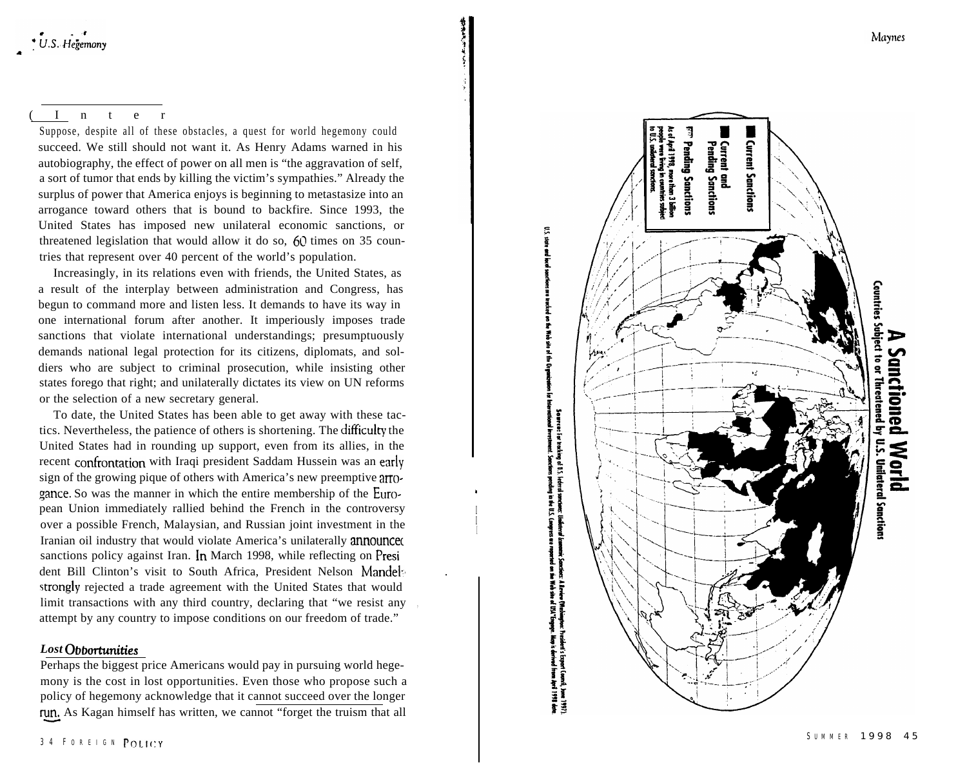#### I n t e

Suppose, despite all of these obstacles, a quest for world hegemony could succeed. We still should not want it. As Henry Adams warned in his autobiography, the effect of power on all men is "the aggravation of self, a sort of tumor that ends by killing the victim's sympathies." Already the surplus of power that America enjoys is beginning to metastasize into an arrogance toward others that is bound to backfire. Since 1993, the United States has imposed new unilateral economic sanctions, or threatened legislation that would allow it do so,  $60$  times on 35 countries that represent over 40 percent of the world's population.

Increasingly, in its relations even with friends, the United States, as a result of the interplay between administration and Congress, has begun to command more and listen less. It demands to have its way in one international forum after another. It imperiously imposes trade sanctions that violate international understandings; presumptuously demands national legal protection for its citizens, diplomats, and soldiers who are subject to criminal prosecution, while insisting other states forego that right; and unilaterally dictates its view on UN reforms or the selection of a new secretary general.

To date, the United States has been able to get away with these tactics. Nevertheless, the patience of others is shortening. The difficulty the United States had in rounding up support, even from its allies, in the recent confrontation with Iraqi president Saddam Hussein was an early sign of the growing pique of others with America's new preemptive arrogance. So was the manner in which the entire membership of the European Union immediately rallied behind the French in the controversy over a possible French, Malaysian, and Russian joint investment in the Iranian oil industry that would violate America's unilaterally announced sanctions policy against Iran. In March 1998, while reflecting on Presi dent Bill Clinton's visit to South Africa, President Nelson Mandel strongly rejected a trade agreement with the United States that would limit transactions with any third country, declaring that "we resist any attempt by any country to impose conditions on our freedom of trade."

I

I

.

#### *Lost Obbortunities*

Perhaps the biggest price Americans would pay in pursuing world hegemony is the cost in lost opportunities. Even those who propose such a policy of hegemony acknowledge that it cannot succeed over the longer run. As Kagan himself has written, we cannot "forget the truism that all

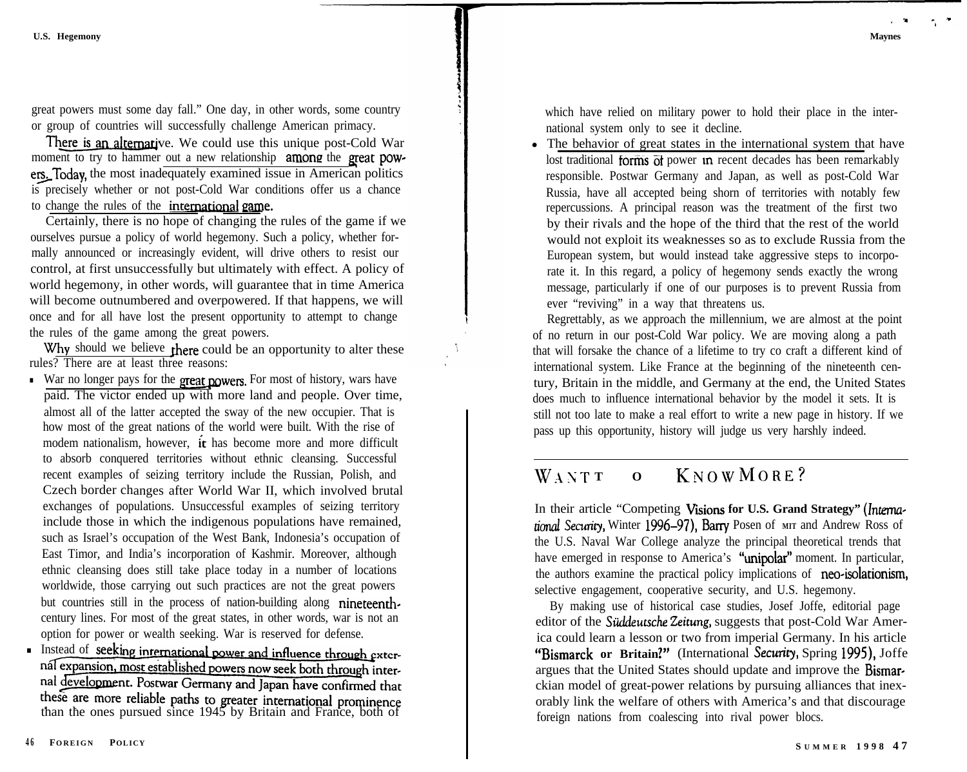great powers must some day fall." One day, in other words, some country or group of countries will successfully challenge American primacy.

There is an alternative. We could use this unique post-Cold War moment to try to hammer out a new relationship **among** the **great pow**ers. Today, the most inadequately examined issue in American politics is precisely whether or not post-Cold War conditions offer us a chance to change the rules of the international game.

Certainly, there is no hope of changing the rules of the game if we ourselves pursue a policy of world hegemony. Such a policy, whether formally announced or increasingly evident, will drive others to resist our control, at first unsuccessfully but ultimately with effect. A policy of world hegemony, in other words, will guarantee that in time America will become outnumbered and overpowered. If that happens, we will once and for all have lost the present opportunity to attempt to change the rules of the game among the great powers.

Why should we believe there could be an opportunity to alter these rules? There are at least three reasons:

- War no longer pays for the great powers. For most of history, wars have paid. The victor ended up with more land and people. Over time, almost all of the latter accepted the sway of the new occupier. That is how most of the great nations of the world were built. With the rise of modem nationalism, however, it has become more and more difficult to absorb conquered territories without ethnic cleansing. Successful recent examples of seizing territory include the Russian, Polish, and Czech border changes after World War II, which involved brutal exchanges of populations. Unsuccessful examples of seizing territory include those in which the indigenous populations have remained, such as Israel's occupation of the West Bank, Indonesia's occupation of East Timor, and India's incorporation of Kashmir. Moreover, although ethnic cleansing does still take place today in a number of locations worldwide, those carrying out such practices are not the great powers but countries still in the process of nation-building along nineteenthcentury lines. For most of the great states, in other words, war is not an option for power or wealth seeking. War is reserved for defense.
- Instead of seeking international power and influence through exter-<br>nal expansion, most established powers now seek both through internal development. Postwar Germany and Japan have confirmed that these are more reliable paths to greater international prominence than the ones pursued since 1945 by Britain and France, both of

<sup>1</sup> 9

, ^,

which have relied on military power to hold their place in the international system only to see it decline.

• The behavior of great states in the international system that have  $\log$  traditional **forms** of power in recent decades has been remarkably responsible. Postwar Germany and Japan, as well as post-Cold War Russia, have all accepted being shorn of territories with notably few repercussions. A principal reason was the treatment of the first two by their rivals and the hope of the third that the rest of the world would not exploit its weaknesses so as to exclude Russia from the European system, but would instead take aggressive steps to incorporate it. In this regard, a policy of hegemony sends exactly the wrong message, particularly if one of our purposes is to prevent Russia from ever "reviving" in a way that threatens us.

Regrettably, as we approach the millennium, we are almost at the point of no return in our post-Cold War policy. We are moving along a path that will forsake the chance of a lifetime to try co craft a different kind of international system. Like France at the beginning of the nineteenth century, Britain in the middle, and Germany at the end, the United States does much to influence international behavior by the model it sets. It is still not too late to make a real effort to write a new page in history. If we pass up this opportunity, history will judge us very harshly indeed.

### **WANTT** O **KNOWMORE?**

In their article "Competing Visions for U.S. Grand Strategy" (International Security, Winter 1996-97), Barry Posen of MIT and Andrew Ross of the U.S. Naval War College analyze the principal theoretical trends that have emerged in response to America's "unipolar" moment. In particular, the authors examine the practical policy implications of neo-isolationism, selective engagement, cooperative security, and U.S. hegemony.

By making use of historical case studies, Josef Joffe, editorial page editor of the Süddeutsche Zeitung, suggests that post-Cold War America could learn a lesson or two from imperial Germany. In his article "Bismarck or Britain?" (International Security, Spring 1995), Joffe argues that the United States should update and improve the Bismarckian model of great-power relations by pursuing alliances that inexorably link the welfare of others with America's and that discourage foreign nations from coalescing into rival power blocs.